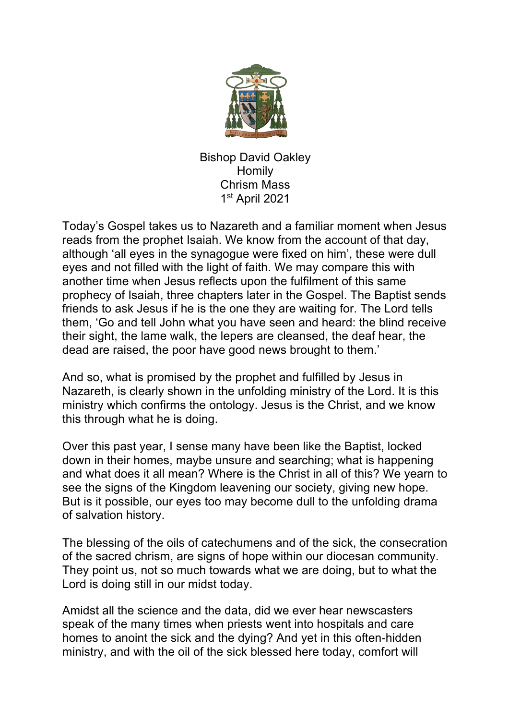

Bishop David Oakley Homily Chrism Mass 1st April 2021

Today's Gospel takes us to Nazareth and a familiar moment when Jesus reads from the prophet Isaiah. We know from the account of that day, although 'all eyes in the synagogue were fixed on him', these were dull eyes and not filled with the light of faith. We may compare this with another time when Jesus reflects upon the fulfilment of this same prophecy of Isaiah, three chapters later in the Gospel. The Baptist sends friends to ask Jesus if he is the one they are waiting for. The Lord tells them, 'Go and tell John what you have seen and heard: the blind receive their sight, the lame walk, the lepers are cleansed, the deaf hear, the dead are raised, the poor have good news brought to them.'

And so, what is promised by the prophet and fulfilled by Jesus in Nazareth, is clearly shown in the unfolding ministry of the Lord. It is this ministry which confirms the ontology. Jesus is the Christ, and we know this through what he is doing.

Over this past year, I sense many have been like the Baptist, locked down in their homes, maybe unsure and searching; what is happening and what does it all mean? Where is the Christ in all of this? We yearn to see the signs of the Kingdom leavening our society, giving new hope. But is it possible, our eyes too may become dull to the unfolding drama of salvation history.

The blessing of the oils of catechumens and of the sick, the consecration of the sacred chrism, are signs of hope within our diocesan community. They point us, not so much towards what we are doing, but to what the Lord is doing still in our midst today.

Amidst all the science and the data, did we ever hear newscasters speak of the many times when priests went into hospitals and care homes to anoint the sick and the dying? And yet in this often-hidden ministry, and with the oil of the sick blessed here today, comfort will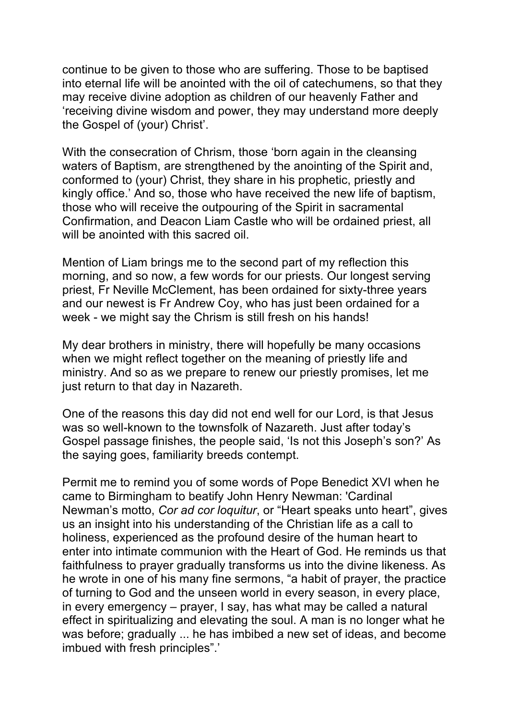continue to be given to those who are suffering. Those to be baptised into eternal life will be anointed with the oil of catechumens, so that they may receive divine adoption as children of our heavenly Father and 'receiving divine wisdom and power, they may understand more deeply the Gospel of (your) Christ'.

With the consecration of Chrism, those 'born again in the cleansing waters of Baptism, are strengthened by the anointing of the Spirit and, conformed to (your) Christ, they share in his prophetic, priestly and kingly office.' And so, those who have received the new life of baptism, those who will receive the outpouring of the Spirit in sacramental Confirmation, and Deacon Liam Castle who will be ordained priest, all will be anointed with this sacred oil.

Mention of Liam brings me to the second part of my reflection this morning, and so now, a few words for our priests. Our longest serving priest, Fr Neville McClement, has been ordained for sixty-three years and our newest is Fr Andrew Coy, who has just been ordained for a week - we might say the Chrism is still fresh on his hands!

My dear brothers in ministry, there will hopefully be many occasions when we might reflect together on the meaning of priestly life and ministry. And so as we prepare to renew our priestly promises, let me just return to that day in Nazareth.

One of the reasons this day did not end well for our Lord, is that Jesus was so well-known to the townsfolk of Nazareth. Just after today's Gospel passage finishes, the people said, 'Is not this Joseph's son?' As the saying goes, familiarity breeds contempt.

Permit me to remind you of some words of Pope Benedict XVI when he came to Birmingham to beatify John Henry Newman: 'Cardinal Newman's motto, *Cor ad cor loquitur*, or "Heart speaks unto heart", gives us an insight into his understanding of the Christian life as a call to holiness, experienced as the profound desire of the human heart to enter into intimate communion with the Heart of God. He reminds us that faithfulness to prayer gradually transforms us into the divine likeness. As he wrote in one of his many fine sermons, "a habit of prayer, the practice of turning to God and the unseen world in every season, in every place, in every emergency – prayer, I say, has what may be called a natural effect in spiritualizing and elevating the soul. A man is no longer what he was before; gradually ... he has imbibed a new set of ideas, and become imbued with fresh principles".'